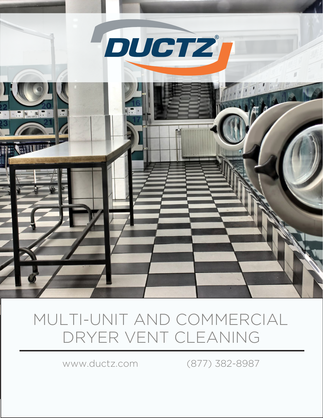

## MULTI-UNIT AND COMMERCIAL DRYER VENT CLEANING

www.ductz.com (877) 382-8987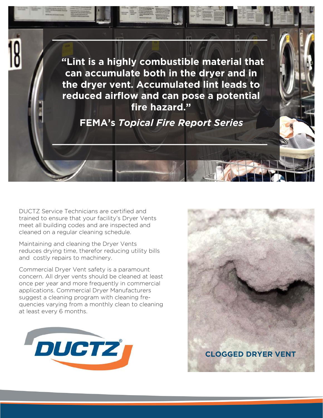

DUCTZ Service Technicians are certified and trained to ensure that your facility's Dryer Vents meet all building codes and are inspected and cleaned on a regular cleaning schedule.

Maintaining and cleaning the Dryer Vents reduces drying time, therefor reducing utility bills and costly repairs to machinery.

Commercial Dryer Vent safety is a paramount concern. All dryer vents should be cleaned at least once per year and more frequently in commercial applications. Commercial Dryer Manufacturers suggest a cleaning program with cleaning frequencies varying from a monthly clean to cleaning at least every 6 months.



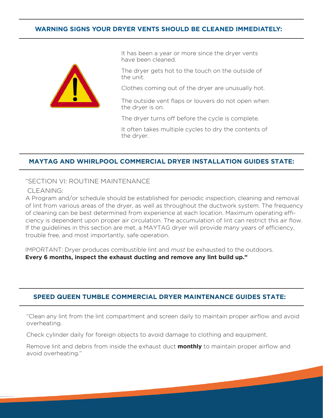## **WARNING SIGNS YOUR DRYER VENTS SHOULD BE CLEANED IMMEDIATELY:**



It has been a year or more since the dryer vents have been cleaned.

The dryer gets hot to the touch on the outside of the unit.

Clothes coming out of the dryer are unusually hot.

The outside vent flaps or louvers do not open when the dryer is on.

The dryer turns off before the cycle is complete.

It often takes multiple cycles to dry the contents of the dryer.

## **MAYTAG AND WHIRLPOOL COMMERCIAL DRYER INSTALLATION GUIDES STATE:**

"SECTION VI: ROUTINE MAINTENANCE

CLEANING:

A Program and/or schedule should be established for periodic inspection, cleaning and removal of lint from various areas of the dryer, as well as throughout the ductwork system. The frequency of cleaning can be best determined from experience at each location. Maximum operating efficiency is dependent upon proper air circulation. The accumulation of lint can restrict this air flow. If the guidelines in this section are met, a MAYTAG dryer will provide many years of efficiency, trouble free, and most importantly, safe operation.

IMPORTANT: Dryer produces combustible lint and *must* be exhausted to the outdoors. **Every 6 months, inspect the exhaust ducting and remove any lint build up."**

## **SPEED QUEEN TUMBLE COMMERCIAL DRYER MAINTENANCE GUIDES STATE:**

"Clean any lint from the lint compartment and screen daily to maintain proper airflow and avoid overheating.

Check cylinder daily for foreign objects to avoid damage to clothing and equipment.

Remove lint and debris from inside the exhaust duct **monthly** to maintain proper airflow and avoid overheating."